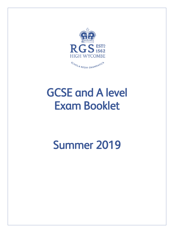

# GCSE and A level Exam Booklet

# Summer 2019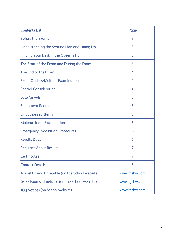| <b>Contents List</b>                                | Page          |
|-----------------------------------------------------|---------------|
| <b>Before the Exams</b>                             | 3             |
| Understanding the Seating Plan and Lining Up        | 3             |
| Finding Your Desk in the Queen's Hall               | 3             |
| The Start of the Exam and During the Exam           | 4             |
| The End of the Exam                                 | 4             |
| <b>Exam Clashes/Multiple Examinations</b>           | 4             |
| <b>Special Consideration</b>                        | 4             |
| <b>Late Arrivals</b>                                | 5             |
| <b>Equipment Required</b>                           | 5             |
| <b>Unauthorised Items</b>                           | 5             |
| <b>Malpractice in Examinations</b>                  | 6             |
| <b>Emergency Evacuation Procedures</b>              | 6             |
| <b>Results Days</b>                                 | 6             |
| <b>Enquiries About Results</b>                      | 7             |
| <b>Certificates</b>                                 | 7             |
| <b>Contact Details</b>                              | 8             |
| A level Exams Timetable (on the School website)     | www.rgshw.com |
| <b>GCSE Exams Timetable (on the School website)</b> | www.rgshw.com |
| <b>JCQ Notices</b> (on School website)              | www.rgshw.com |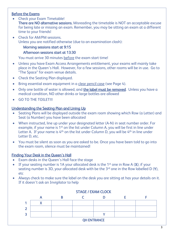### Before the Exams

- Check your Exam Timetable! There are NO alternative sessions. Misreading the timetable is NOT an acceptable excuse for being late or missing an exam. Remember, you may be sitting an exam at a different time to your friends!
- Check for AM/PM sessions. Unless you are notified otherwise (due to an examination clash):

Morning sessions start at 9:15

#### Afternoon sessions start at 13:30

You must arrive 30 minutes before the exam start time!

- Unless you have Exam Access Arrangements entitlement, your exams will mainly take place in the Queen's Hall. However, for a few sessions, other rooms will be in use. Go to "The Space" for exam venue details.
- Check the Seating Plan displayed.
- Bring essential exam equipment in a clear pencil case (see Page 4).
- Only one bottle of water is allowed, and the label must be removed. Unless you have a medical condition, NO other drinks or large bottles are allowed
- GO TO THE TOILET!!!

#### Understanding the Seating Plan and Lining Up

- Seating Plans will be displayed outside the exam room showing which Row (a Letter) and Seat (a Number) you have been allocated
- When instructed, line up under your designated letter (A-N) in seat number order. For example, if your name is 1<sup>st</sup> on the list under Column A, you will be first in line under Letter A. If your name is 4<sup>th</sup> on the list under Column D, you will be 4<sup>th</sup> in line under Letter D, etc.
- You must be silent as soon as you are asked to be. Once you have been told to go into the exam room, silence must be maintained!

#### **Finding Your Desk in the Queen's Hall**

- Exam desks in the Queen's Hall face the stage
- If your seating number is 1A your allocated desk is the 1st one in Row A  $(X)$ ; if your seating number is 3D, your allocated desk with be the  $3<sup>rd</sup>$  one in the Row labelled D (Y), etc
- Always check to make sure the label on the desk you are sitting at has your details on it. If it doesn't ask an Invigilator to help



#### STAGE / EXAM CLOCK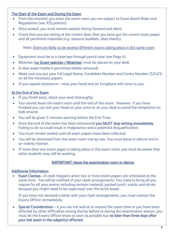# The Start of the Exam and During the Exam

- From the moment you enter the exam room you are subject to Exam Board Rules and Regulations (see JCQ policies).
- Once seated, you must remain seated, facing forward and silent.
- Check that you are sitting at the correct desk, that you have got the correct exam paper and all permitted materials (e.g. resource booklets, data sheets).

Note: there are likely to be several different exams taking place in the same room

- Equipment must be in a clear/see-through pencil case (see Page 4).
- Watches (no Smart watches / iWatches) must be placed on your desk.
- A clear water bottle is permitted (labels removed).
- Make sure you put your full Legal Name, Candidate Number and Centre Number (52423) on all the necessary papers.
- If you require assistance raise your hand and an Invigilator will come to you.

#### At the End of the Exam

- If you finish early, check your work thoroughly.
- You cannot leave the exam room until the end of the exam. However, if you have finished you can rest your head on your arms or on your desk to avoid the temptation to look around.
- You will be given 5 minutes warning before the End Time.
- Once the end of the exam has been announced you MUST stop writing immediately. Failing to do so could result in malpractice and a potential disqualification.
- You must remain seated until all exam papers have been collected.
- You will be dismissed from the exam room row by row. You must leave in silence and in an orderly manner.
- If more than one exam paper is taking place in the exam room, you must be aware that other students may still be working.

#### IMPORTANT: leave the examination room in silence

#### Additional Information

• Exam Clashes – A clash happens when two or more exam papers are scheduled at the same time. You will be notified of your clash arrangements. You need to bring all you require for all your exams including revision material, packed lunch, snacks and drinks because you might need to be supervised over the lunch break.

If you have not received a letter with your clash arrangements, you must contact the Exams Officer immediately.

• Special Consideration – if you are not well at or around the exam time or you have been affected by other difficulties arising shortly before or during the examination season, you must let the Exams Officer know as soon as possible but no later than three days after your last exam in the subject(s) affected.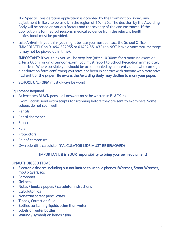If a Special Consideration application is accepted by the Examination Board, any adjustment is likely to be small, in the region of 1% - 5%. The decision by the Awarding Body will be based on various factors and the severity of the circumstances. If the application is for medical reasons, medical evidence from the relevant health professional must be provided.

• Late Arrival – if you think you might be late you must contact the School Office IMMEDIATELY on 01494 524955 or 01494 551432 (do NOT leave a voicemail message, it may not be picked up in time). j

IMPORTANT: If you think you will be very late (after 10.00am for a morning exam or after 2.00pm for an afternoon exam) you must report to School Reception immediately on arrival. Where possible you should be accompanied by a parent / adult who can sign a declaration form confirming you have not been in contact with anyone who may have had sight of the paper. Be aware, the Awarding Body may decline to mark your paper.

• SCHOOL UNIFORM must always be worn!

# Equipment Required

- At least two **BLACK** pens all answers must be written in **BLACK** ink Exam Boards send exam scripts for scanning before they are sent to examiners. Some colours do not scan well.
- Pencils
- Pencil sharpener
- **•** Eraser
- Ruler
- Protractors
- Pair of compasses
- Own scientific calculator (CALCULATOR LIDS MUST BE REMOVED)

### IMPORTANT: it is YOUR responsibility to bring your own equipment!

# UNAUTHORISED ITEMS

- Electronic devices including but not limited to: Mobile phones, iWatches, Smart Watches, mp3 players, etc
- **•** Earphones
- Gel pens
- Notes / books / papers / calculator instructions
- **•** Calculator lids
- Non-transparent pencil cases
- Tippex, Correction fluid
- Bottles containing liquids other than water
- Labels on water bottles
- Writing / symbols on hands / skin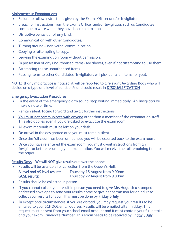#### Malpractice in Examinations

- Failure to follow instructions given by the Exams Officer and/or Invigilator.
- Breach of instructions from the Exams Officer and/or Invigilator, such as Candidates continue to write when they have been told to stop.
- Disruptive behaviour of any kind.
- Communication with other Candidates.
- Turning around non-verbal communication.
- Copying or attempting to copy.
- Leaving the examination room without permission.
- In possession of any unauthorised items (see above), even if not attempting to use them.
- Attempting to use unauthorised items.
- Passing items to other Candidates (Invigilators will pick up fallen items for you).

NOTE: If any malpractice is noticed, it will be reported to a relevant Awarding Body who will decide on a type and level of sanction/s and could result in **DISQUALIFICATION** 

#### Emergency Evacuation Procedures

- In the event of the emergency alarm sound, stop writing immediately. An Invigilator will make a note of time.
- Remain silent, facing forward and await further instructions.
- You must not communicate with anyone other than a member of the examination staff. This also applies even if you are asked to evacuate the exam room.
- All exam materials must be left on your desk.
- On arrival in the designated area you must remain silent.
- Once the 'all clear' has been announced you will be escorted back to the exam room.
- Once you have re-entered the exam room, you must await instructions from an Invigilator before resuming your examination. You will receive the full remaining time for the paper.

#### Results Days – We will NOT give results out over the phone

Results will be available for collection from the Queen's Hall.

| A level and AS level results: | Thursday 15 August from 9.00am |
|-------------------------------|--------------------------------|
| <b>GCSE results:</b>          | Thursday 22 August from 9.00am |

- Results should be collected in person.
- If you cannot collect your result in person you need to give Mrs Hogarth a stamped addressed envelope to send your results home or give her permission for an adult to collect your results for you. This must be done by Friday 5 July.
- In exceptional circumstances, if you are abroad, you may request your results to be emailed to your SCHOOL email address. Results will be emailed after midday. This request must be sent from your school email account and it must contain your full details and your exam Candidate Number. This email needs to be received by Friday 5 July.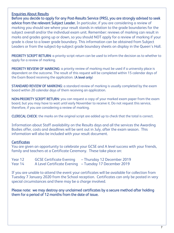#### Enquiries About Results

Before you decide to apply for any Post-Results Service (PRS), you are strongly advised to seek advice from the relevant Subject Leader. In particular, if you are considering a review of marking you should see where your result stands in relation to the grade boundaries for the subject overall and/or the individual exam unit. Remember: reviews of marking can result in marks and grades going up or down, so you should NOT apply for a review of marking if your grade is close to a lower grade boundary. This information can be obtained from Subject Leaders or from the subject-by-subject grade boundary sheets on display in the Queen's Hall.

PRIORITY SCRIPT RETURN: a priority script return can be used to inform the decision as to whether to apply for a review of marking.

PRIORITY REVIEW OF MARKING: a priority review of marking must be used if a university place is dependent on the outcome. The result of this request will be completed within 15 calendar days of the Exam Board receiving the application. (A level only)

**STANDARD REVIEW OF MARKING:** a standard review of marking is usually completed by the exam board within 20 calendar days of them receiving an application.

NON-PRIORITY SCRIPT RETURN: you can request a copy of your marked exam paper from the exam board, but you may have to wait until early November to receive it. Do not request this service, therefore, if you are considering a review of marking.

CLERICAL CHECK: the marks on the original script are added up to check that the total is correct.

Information about Staff availability on the Results days and all the services the Awarding Bodies offer, costs and deadlines will be sent out in July, after the exam season. This information will also be included with your result document.

#### **Certificates**

You are given an opportunity to celebrate your GCSE and A level success with your friends, family and teachers at a Certificate Ceremony. These take place on:

| Year 12 | <b>GCSE Certificate Evening</b> | - Thursday 12 December 2019                            |
|---------|---------------------------------|--------------------------------------------------------|
| Year 14 |                                 | A Level Certificate Evening – Tuesday 17 December 2019 |

If you are unable to attend the event your certificates will be available for collection from Tuesday 7 January 2020 from the School reception. Certificates can only be posted in very special circumstances and there may be a charge involved.

Please note: we may destroy any unclaimed certificates by a secure method after holding them for a period of 12 months from the date of issue.